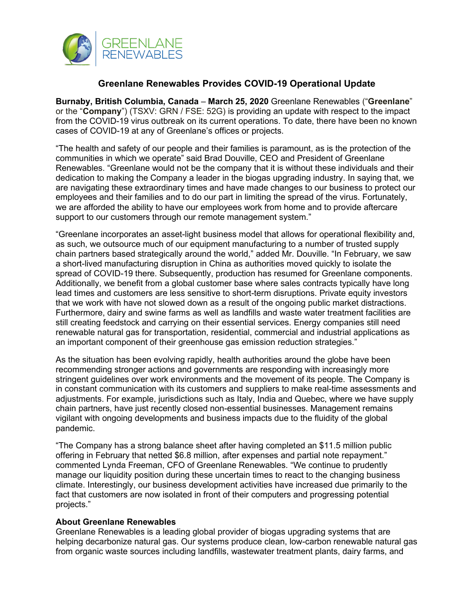

## **Greenlane Renewables Provides COVID-19 Operational Update**

**Burnaby, British Columbia, Canada** – **March 25, 2020** Greenlane Renewables ("**Greenlane**" or the "**Company**") (TSXV: GRN / FSE: 52G) is providing an update with respect to the impact from the COVID-19 virus outbreak on its current operations. To date, there have been no known cases of COVID-19 at any of Greenlane's offices or projects.

"The health and safety of our people and their families is paramount, as is the protection of the communities in which we operate" said Brad Douville, CEO and President of Greenlane Renewables. "Greenlane would not be the company that it is without these individuals and their dedication to making the Company a leader in the biogas upgrading industry. In saying that, we are navigating these extraordinary times and have made changes to our business to protect our employees and their families and to do our part in limiting the spread of the virus. Fortunately, we are afforded the ability to have our employees work from home and to provide aftercare support to our customers through our remote management system."

"Greenlane incorporates an asset-light business model that allows for operational flexibility and, as such, we outsource much of our equipment manufacturing to a number of trusted supply chain partners based strategically around the world," added Mr. Douville. "In February, we saw a short-lived manufacturing disruption in China as authorities moved quickly to isolate the spread of COVID-19 there. Subsequently, production has resumed for Greenlane components. Additionally, we benefit from a global customer base where sales contracts typically have long lead times and customers are less sensitive to short-term disruptions. Private equity investors that we work with have not slowed down as a result of the ongoing public market distractions. Furthermore, dairy and swine farms as well as landfills and waste water treatment facilities are still creating feedstock and carrying on their essential services. Energy companies still need renewable natural gas for transportation, residential, commercial and industrial applications as an important component of their greenhouse gas emission reduction strategies."

As the situation has been evolving rapidly, health authorities around the globe have been recommending stronger actions and governments are responding with increasingly more stringent guidelines over work environments and the movement of its people. The Company is in constant communication with its customers and suppliers to make real-time assessments and adjustments. For example, jurisdictions such as Italy, India and Quebec, where we have supply chain partners, have just recently closed non-essential businesses. Management remains vigilant with ongoing developments and business impacts due to the fluidity of the global pandemic.

"The Company has a strong balance sheet after having completed an \$11.5 million public offering in February that netted \$6.8 million, after expenses and partial note repayment." commented Lynda Freeman, CFO of Greenlane Renewables. "We continue to prudently manage our liquidity position during these uncertain times to react to the changing business climate. Interestingly, our business development activities have increased due primarily to the fact that customers are now isolated in front of their computers and progressing potential projects."

## **About Greenlane Renewables**

Greenlane Renewables is a leading global provider of biogas upgrading systems that are helping decarbonize natural gas. Our systems produce clean, low-carbon renewable natural gas from organic waste sources including landfills, wastewater treatment plants, dairy farms, and